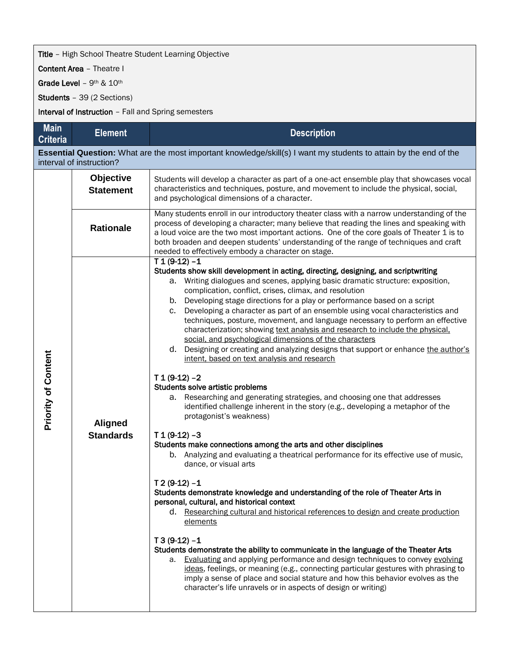## **Title** - High School Theatre Student Learning Objective

Content Area – Theatre I

Grade Level - 9<sup>th & 10th</sup>

Students – 39 (2 Sections)

Interval of Instruction - Fall and Spring semesters

| <b>Main</b><br><b>Criteria</b> | <b>Element</b>                       | <b>Description</b>                                                                                                                                                                                                                                                                                                                                                                                                                                                                                                                                                                                                                                                                                                                                                                                                                                                                                                                                                                                                                                                                                                                                                                                                                                                                                                                                                                                                                                                                                                                                                                                                                                                                                                                                                                                                                                                                                                                      |
|--------------------------------|--------------------------------------|-----------------------------------------------------------------------------------------------------------------------------------------------------------------------------------------------------------------------------------------------------------------------------------------------------------------------------------------------------------------------------------------------------------------------------------------------------------------------------------------------------------------------------------------------------------------------------------------------------------------------------------------------------------------------------------------------------------------------------------------------------------------------------------------------------------------------------------------------------------------------------------------------------------------------------------------------------------------------------------------------------------------------------------------------------------------------------------------------------------------------------------------------------------------------------------------------------------------------------------------------------------------------------------------------------------------------------------------------------------------------------------------------------------------------------------------------------------------------------------------------------------------------------------------------------------------------------------------------------------------------------------------------------------------------------------------------------------------------------------------------------------------------------------------------------------------------------------------------------------------------------------------------------------------------------------------|
|                                | interval of instruction?             | Essential Question: What are the most important knowledge/skill(s) I want my students to attain by the end of the                                                                                                                                                                                                                                                                                                                                                                                                                                                                                                                                                                                                                                                                                                                                                                                                                                                                                                                                                                                                                                                                                                                                                                                                                                                                                                                                                                                                                                                                                                                                                                                                                                                                                                                                                                                                                       |
| <b>Priority of Content</b>     | <b>Objective</b><br><b>Statement</b> | Students will develop a character as part of a one-act ensemble play that showcases vocal<br>characteristics and techniques, posture, and movement to include the physical, social,<br>and psychological dimensions of a character.                                                                                                                                                                                                                                                                                                                                                                                                                                                                                                                                                                                                                                                                                                                                                                                                                                                                                                                                                                                                                                                                                                                                                                                                                                                                                                                                                                                                                                                                                                                                                                                                                                                                                                     |
|                                | <b>Rationale</b>                     | Many students enroll in our introductory theater class with a narrow understanding of the<br>process of developing a character; many believe that reading the lines and speaking with<br>a loud voice are the two most important actions. One of the core goals of Theater 1 is to<br>both broaden and deepen students' understanding of the range of techniques and craft<br>needed to effectively embody a character on stage.                                                                                                                                                                                                                                                                                                                                                                                                                                                                                                                                                                                                                                                                                                                                                                                                                                                                                                                                                                                                                                                                                                                                                                                                                                                                                                                                                                                                                                                                                                        |
|                                | Aligned<br><b>Standards</b>          | $T1(9-12) - 1$<br>Students show skill development in acting, directing, designing, and scriptwriting<br>a. Writing dialogues and scenes, applying basic dramatic structure: exposition,<br>complication, conflict, crises, climax, and resolution<br>b. Developing stage directions for a play or performance based on a script<br>Developing a character as part of an ensemble using vocal characteristics and<br>c.<br>techniques, posture, movement, and language necessary to perform an effective<br>characterization; showing text analysis and research to include the physical.<br>social, and psychological dimensions of the characters<br>d. Designing or creating and analyzing designs that support or enhance the author's<br>intent, based on text analysis and research<br>$T1(9-12) - 2$<br>Students solve artistic problems<br>a. Researching and generating strategies, and choosing one that addresses<br>identified challenge inherent in the story (e.g., developing a metaphor of the<br>protagonist's weakness)<br>$T1(9-12) - 3$<br>Students make connections among the arts and other disciplines<br>b. Analyzing and evaluating a theatrical performance for its effective use of music,<br>dance, or visual arts<br>$T$ 2 (9-12) -1<br>Students demonstrate knowledge and understanding of the role of Theater Arts in<br>personal, cultural, and historical context<br>d. Researching cultural and historical references to design and create production<br>elements<br>$T3(9-12) - 1$<br>Students demonstrate the ability to communicate in the language of the Theater Arts<br>a. Evaluating and applying performance and design techniques to convey evolving<br>ideas, feelings, or meaning (e.g., connecting particular gestures with phrasing to<br>imply a sense of place and social stature and how this behavior evolves as the<br>character's life unravels or in aspects of design or writing) |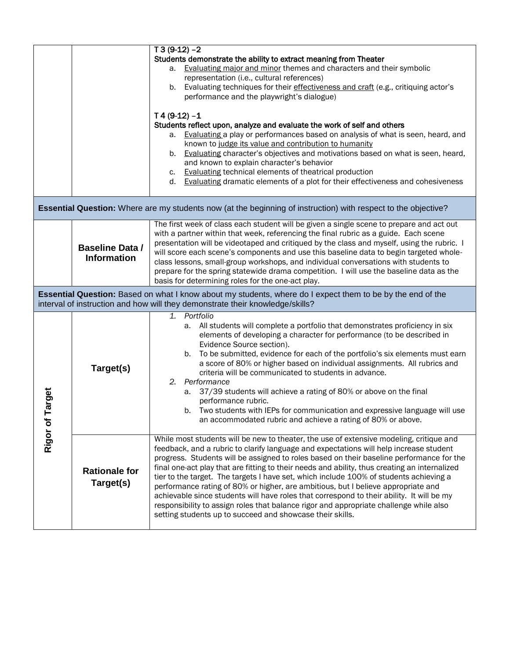|                                                                                                                       |                                              | $T3(9-12) - 2$                                                                                                                                                                              |  |  |
|-----------------------------------------------------------------------------------------------------------------------|----------------------------------------------|---------------------------------------------------------------------------------------------------------------------------------------------------------------------------------------------|--|--|
|                                                                                                                       |                                              | Students demonstrate the ability to extract meaning from Theater                                                                                                                            |  |  |
|                                                                                                                       |                                              | a. Evaluating major and minor themes and characters and their symbolic                                                                                                                      |  |  |
|                                                                                                                       |                                              | representation (i.e., cultural references)<br>b. Evaluating techniques for their effectiveness and craft (e.g., critiquing actor's                                                          |  |  |
|                                                                                                                       |                                              | performance and the playwright's dialogue)                                                                                                                                                  |  |  |
|                                                                                                                       |                                              |                                                                                                                                                                                             |  |  |
|                                                                                                                       |                                              | $T4(9-12) - 1$                                                                                                                                                                              |  |  |
|                                                                                                                       |                                              | Students reflect upon, analyze and evaluate the work of self and others                                                                                                                     |  |  |
|                                                                                                                       |                                              | a. Evaluating a play or performances based on analysis of what is seen, heard, and<br>known to judge its value and contribution to humanity                                                 |  |  |
|                                                                                                                       |                                              | b. Evaluating character's objectives and motivations based on what is seen, heard,                                                                                                          |  |  |
|                                                                                                                       |                                              | and known to explain character's behavior                                                                                                                                                   |  |  |
|                                                                                                                       |                                              | c. Evaluating technical elements of theatrical production                                                                                                                                   |  |  |
|                                                                                                                       |                                              | d. Evaluating dramatic elements of a plot for their effectiveness and cohesiveness                                                                                                          |  |  |
|                                                                                                                       |                                              |                                                                                                                                                                                             |  |  |
| <b>Essential Question:</b> Where are my students now (at the beginning of instruction) with respect to the objective? |                                              |                                                                                                                                                                                             |  |  |
|                                                                                                                       |                                              | The first week of class each student will be given a single scene to prepare and act out                                                                                                    |  |  |
|                                                                                                                       | <b>Baseline Data /</b><br><b>Information</b> | with a partner within that week, referencing the final rubric as a guide. Each scene                                                                                                        |  |  |
|                                                                                                                       |                                              | presentation will be videotaped and critiqued by the class and myself, using the rubric. I<br>will score each scene's components and use this baseline data to begin targeted whole-        |  |  |
|                                                                                                                       |                                              | class lessons, small-group workshops, and individual conversations with students to                                                                                                         |  |  |
|                                                                                                                       |                                              | prepare for the spring statewide drama competition. I will use the baseline data as the                                                                                                     |  |  |
|                                                                                                                       |                                              |                                                                                                                                                                                             |  |  |
|                                                                                                                       |                                              | basis for determining roles for the one-act play.                                                                                                                                           |  |  |
|                                                                                                                       |                                              | Essential Question: Based on what I know about my students, where do I expect them to be by the end of the<br>interval of instruction and how will they demonstrate their knowledge/skills? |  |  |
|                                                                                                                       |                                              | 1. Portfolio                                                                                                                                                                                |  |  |
|                                                                                                                       |                                              | a. All students will complete a portfolio that demonstrates proficiency in six                                                                                                              |  |  |
|                                                                                                                       |                                              | elements of developing a character for performance (to be described in                                                                                                                      |  |  |
|                                                                                                                       |                                              | Evidence Source section).                                                                                                                                                                   |  |  |
|                                                                                                                       |                                              | b. To be submitted, evidence for each of the portfolio's six elements must earn                                                                                                             |  |  |
|                                                                                                                       | Target(s)                                    | a score of 80% or higher based on individual assignments. All rubrics and<br>criteria will be communicated to students in advance.                                                          |  |  |
|                                                                                                                       |                                              | 2. Performance                                                                                                                                                                              |  |  |
|                                                                                                                       |                                              | a. 37/39 students will achieve a rating of 80% or above on the final                                                                                                                        |  |  |
|                                                                                                                       |                                              | performance rubric.                                                                                                                                                                         |  |  |
| Target                                                                                                                |                                              | b. Two students with IEPs for communication and expressive language will use                                                                                                                |  |  |
|                                                                                                                       |                                              | an accommodated rubric and achieve a rating of 80% or above.                                                                                                                                |  |  |
|                                                                                                                       |                                              | While most students will be new to theater, the use of extensive modeling, critique and                                                                                                     |  |  |
| Rigor of                                                                                                              |                                              | feedback, and a rubric to clarify language and expectations will help increase student                                                                                                      |  |  |
|                                                                                                                       |                                              | progress. Students will be assigned to roles based on their baseline performance for the                                                                                                    |  |  |
|                                                                                                                       | <b>Rationale for</b>                         | final one-act play that are fitting to their needs and ability, thus creating an internalized                                                                                               |  |  |
|                                                                                                                       | Target(s)                                    | tier to the target. The targets I have set, which include 100% of students achieving a<br>performance rating of 80% or higher, are ambitious, but I believe appropriate and                 |  |  |
|                                                                                                                       |                                              | achievable since students will have roles that correspond to their ability. It will be my                                                                                                   |  |  |
|                                                                                                                       |                                              | responsibility to assign roles that balance rigor and appropriate challenge while also<br>setting students up to succeed and showcase their skills.                                         |  |  |